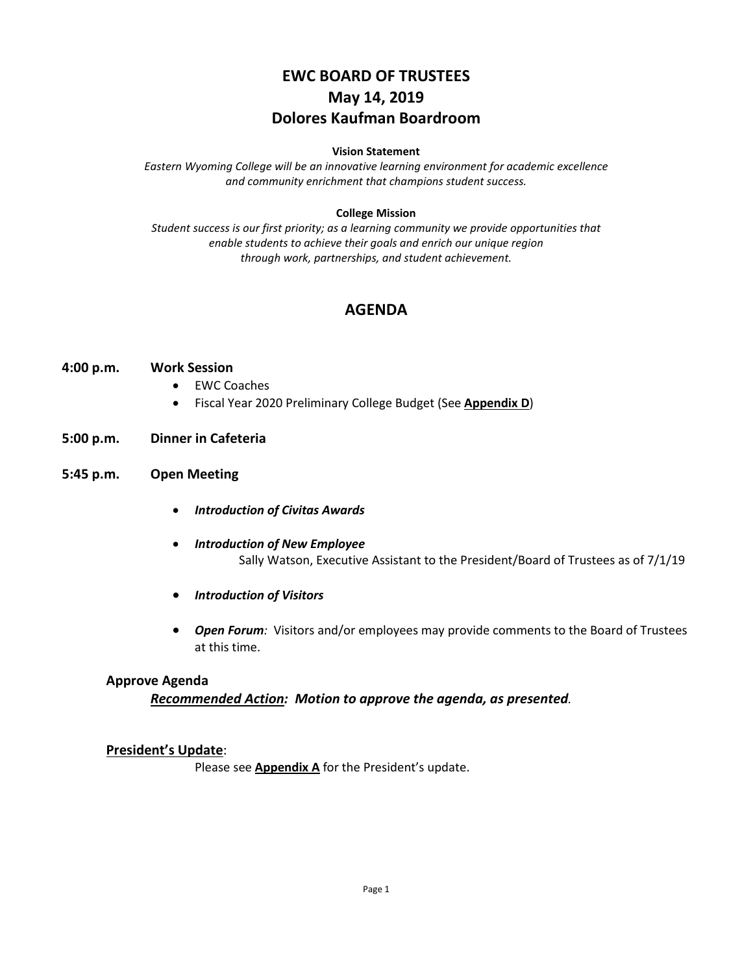# **EWC BOARD OF TRUSTEES May 14, 2019 Dolores Kaufman Boardroom**

#### **Vision Statement**

*Eastern Wyoming College will be an innovative learning environment for academic excellence and community enrichment that champions student success.*

#### **College Mission**

*Student success is our first priority; as a learning community we provide opportunities that enable students to achieve their goals and enrich our unique region through work, partnerships, and student achievement.*

### **AGENDA**

#### **4:00 p.m. Work Session**

- EWC Coaches
- Fiscal Year 2020 Preliminary College Budget (See **Appendix D**)

#### **5:00 p.m. Dinner in Cafeteria**

### **5:45 p.m. Open Meeting**

- *Introduction of Civitas Awards*
- *Introduction of New Employee* Sally Watson, Executive Assistant to the President/Board of Trustees as of 7/1/19
- *Introduction of Visitors*
- *Open Forum:* Visitors and/or employees may provide comments to the Board of Trustees at this time.

#### **Approve Agenda**

*Recommended Action: Motion to approve the agenda, as presented.*

#### **President's Update**:

Please see **Appendix A** for the President's update.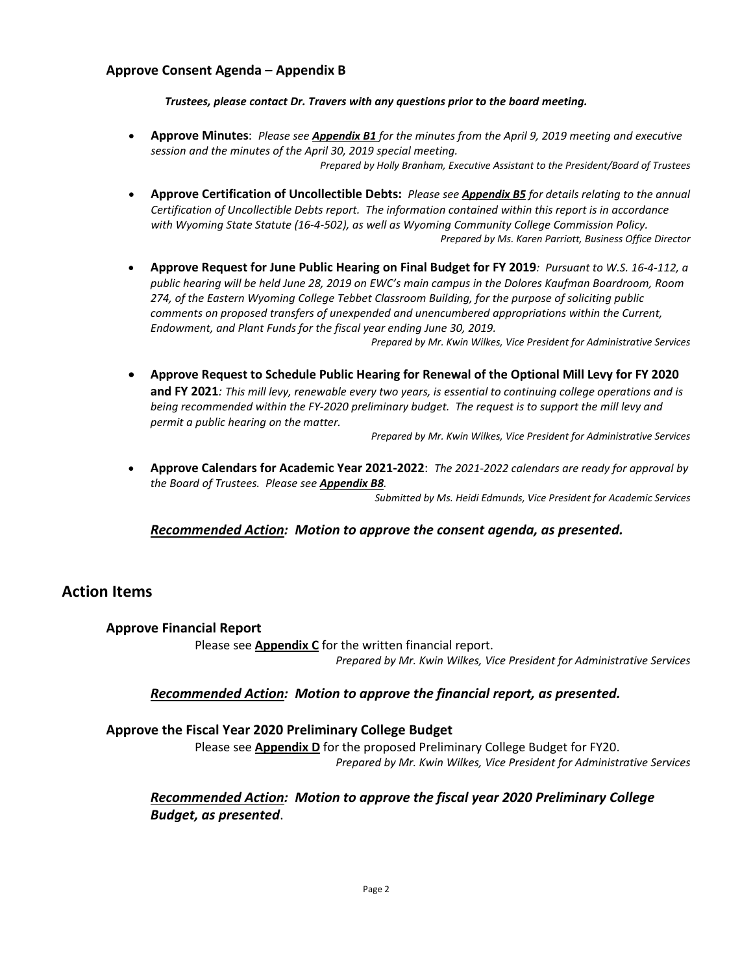### **Approve Consent Agenda** – **Appendix B**

*Trustees, please contact Dr. Travers with any questions prior to the board meeting.*

- **Approve Minutes**: *Please see Appendix B1 for the minutes from the April 9, 2019 meeting and executive session and the minutes of the April 30, 2019 special meeting. Prepared by Holly Branham, Executive Assistant to the President/Board of Trustees*
- **Approve Certification of Uncollectible Debts:** *Please see Appendix B5 for details relating to the annual Certification of Uncollectible Debts report. The information contained within this report is in accordance with Wyoming State Statute (16-4-502), as well as Wyoming Community College Commission Policy. Prepared by Ms. Karen Parriott, Business Office Director*
- **Approve Request for June Public Hearing on Final Budget for FY 2019***: Pursuant to W.S. 16-4-112, a public hearing will be held June 28, 2019 on EWC's main campus in the Dolores Kaufman Boardroom, Room 274, of the Eastern Wyoming College Tebbet Classroom Building, for the purpose of soliciting public comments on proposed transfers of unexpended and unencumbered appropriations within the Current, Endowment, and Plant Funds for the fiscal year ending June 30, 2019.*

*Prepared by Mr. Kwin Wilkes, Vice President for Administrative Services*

• **Approve Request to Schedule Public Hearing for Renewal of the Optional Mill Levy for FY 2020 and FY 2021***: This mill levy, renewable every two years, is essential to continuing college operations and is being recommended within the FY-2020 preliminary budget. The request is to support the mill levy and permit a public hearing on the matter.*

*Prepared by Mr. Kwin Wilkes, Vice President for Administrative Services*

• **Approve Calendars for Academic Year 2021-2022**: *The 2021-2022 calendars are ready for approval by the Board of Trustees. Please see Appendix B8.*

*Submitted by Ms. Heidi Edmunds, Vice President for Academic Services*

### *Recommended Action: Motion to approve the consent agenda, as presented.*

### **Action Items**

#### **Approve Financial Report**

Please see **Appendix C** for the written financial report.

*Prepared by Mr. Kwin Wilkes, Vice President for Administrative Services*

#### *Recommended Action: Motion to approve the financial report, as presented.*

### **Approve the Fiscal Year 2020 Preliminary College Budget**

Please see **Appendix D** for the proposed Preliminary College Budget for FY20. *Prepared by Mr. Kwin Wilkes, Vice President for Administrative Services*

### *Recommended Action: Motion to approve the fiscal year 2020 Preliminary College Budget, as presented*.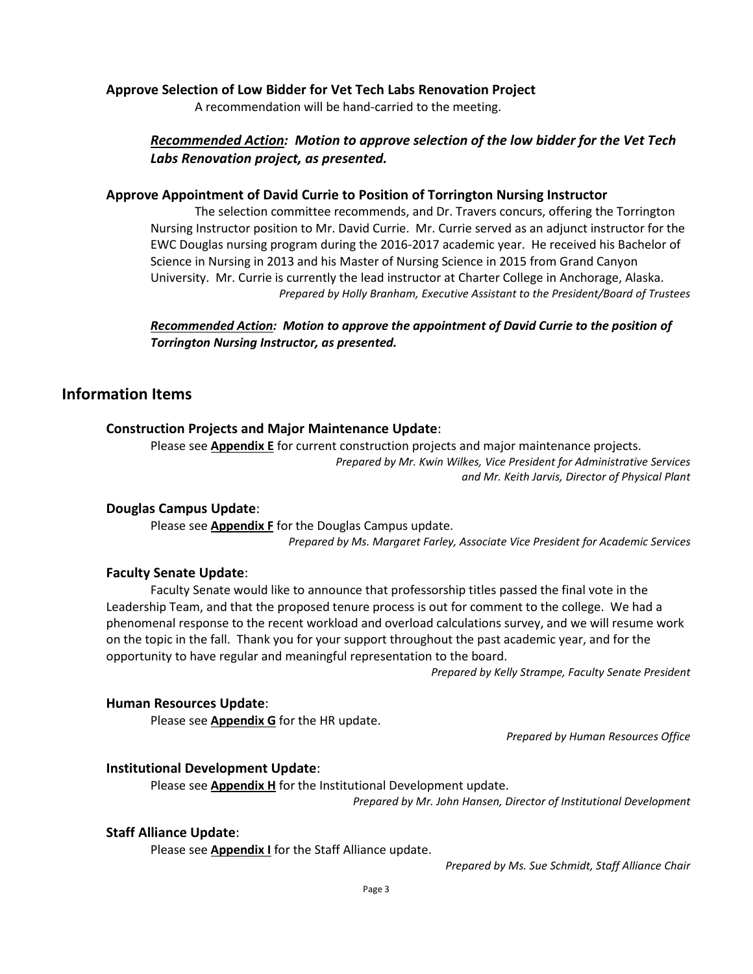### **Approve Selection of Low Bidder for Vet Tech Labs Renovation Project**

A recommendation will be hand-carried to the meeting.

### *Recommended Action: Motion to approve selection of the low bidder for the Vet Tech Labs Renovation project, as presented.*

### **Approve Appointment of David Currie to Position of Torrington Nursing Instructor**

The selection committee recommends, and Dr. Travers concurs, offering the Torrington Nursing Instructor position to Mr. David Currie. Mr. Currie served as an adjunct instructor for the EWC Douglas nursing program during the 2016-2017 academic year. He received his Bachelor of Science in Nursing in 2013 and his Master of Nursing Science in 2015 from Grand Canyon University. Mr. Currie is currently the lead instructor at Charter College in Anchorage, Alaska. *Prepared by Holly Branham, Executive Assistant to the President/Board of Trustees*

*Recommended Action: Motion to approve the appointment of David Currie to the position of Torrington Nursing Instructor, as presented.*

### **Information Items**

### **Construction Projects and Major Maintenance Update**:

Please see **Appendix E** for current construction projects and major maintenance projects. *Prepared by Mr. Kwin Wilkes, Vice President for Administrative Services and Mr. Keith Jarvis, Director of Physical Plant*

#### **Douglas Campus Update**:

Please see **Appendix F** for the Douglas Campus update. *Prepared by Ms. Margaret Farley, Associate Vice President for Academic Services*

#### **Faculty Senate Update**:

Faculty Senate would like to announce that professorship titles passed the final vote in the Leadership Team, and that the proposed tenure process is out for comment to the college. We had a phenomenal response to the recent workload and overload calculations survey, and we will resume work on the topic in the fall. Thank you for your support throughout the past academic year, and for the opportunity to have regular and meaningful representation to the board.

*Prepared by Kelly Strampe, Faculty Senate President*

#### **Human Resources Update**:

Please see **Appendix G** for the HR update.

*Prepared by Human Resources Office*

### **Institutional Development Update**:

Please see **Appendix H** for the Institutional Development update.

*Prepared by Mr. John Hansen, Director of Institutional Development*

### **Staff Alliance Update**:

Please see **Appendix I** for the Staff Alliance update.

*Prepared by Ms. Sue Schmidt, Staff Alliance Chair*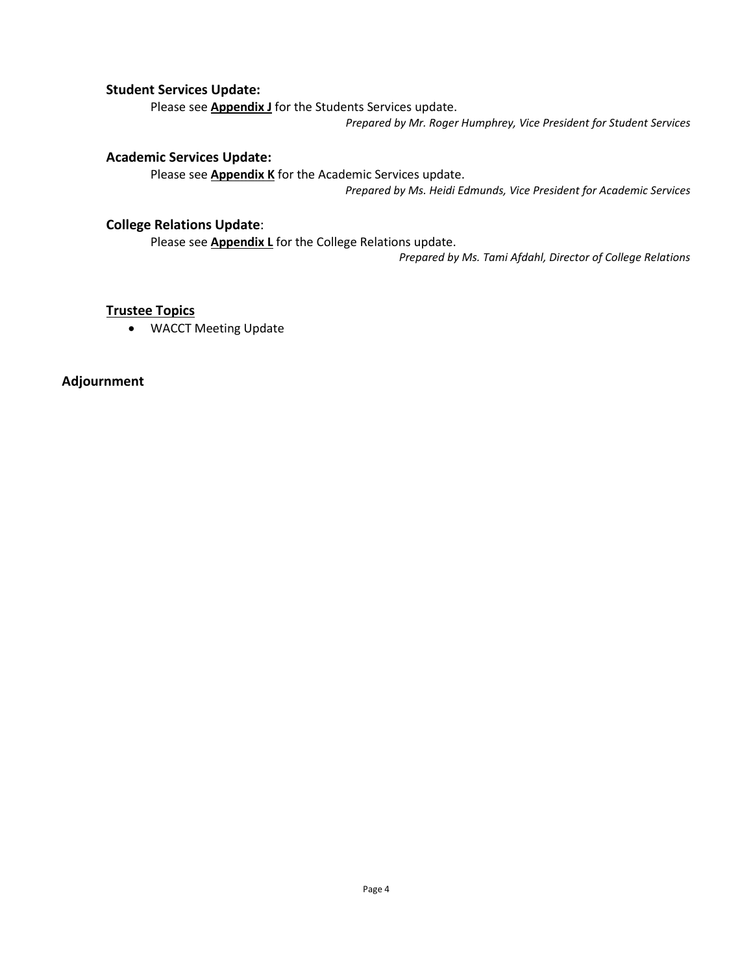### **Student Services Update:**

Please see **Appendix J** for the Students Services update.

*Prepared by Mr. Roger Humphrey, Vice President for Student Services*

### **Academic Services Update:**

Please see **Appendix K** for the Academic Services update.

*Prepared by Ms. Heidi Edmunds, Vice President for Academic Services*

### **College Relations Update**:

Please see **Appendix L** for the College Relations update.

*Prepared by Ms. Tami Afdahl, Director of College Relations*

### **Trustee Topics**

• WACCT Meeting Update

**Adjournment**